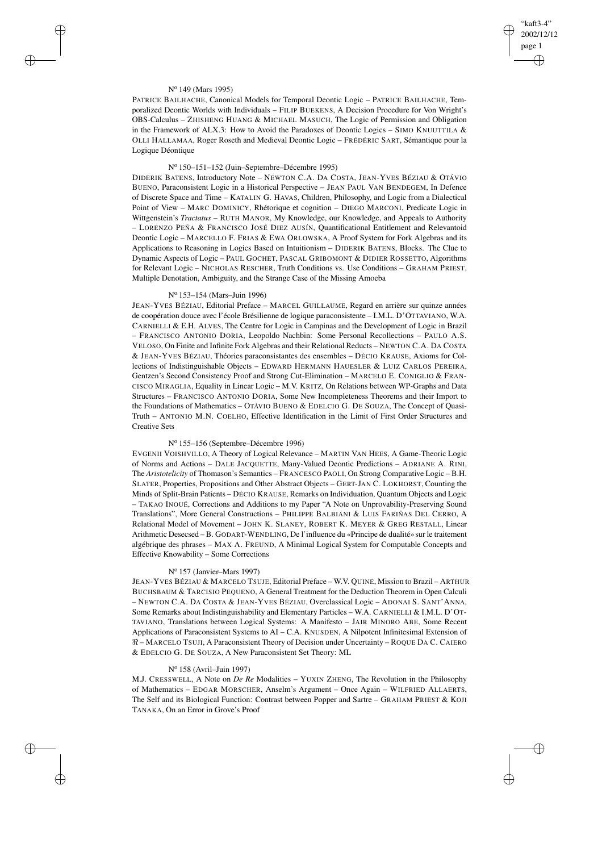## "kaft3-4" 2002/12/12 page 1 ✐ ✐

✐

✐

#### N<sup>o</sup> 149 (Mars 1995)

✐

✐

✐

✐

PATRICE BAILHACHE, Canonical Models for Temporal Deontic Logic – PATRICE BAILHACHE, Temporalized Deontic Worlds with Individuals – FILIP BUEKENS, A Decision Procedure for Von Wright's OBS-Calculus – ZHISHENG HUANG & MICHAEL MASUCH, The Logic of Permission and Obligation in the Framework of ALX.3: How to Avoid the Paradoxes of Deontic Logics – SIMO KNUUTTILA  $\&$ OLLI HALLAMAA, Roger Roseth and Medieval Deontic Logic – FRÉDÉRIC SART, Sémantique pour la Logique Déontique

## N<sup>o</sup> 150–151–152 (Juin–Septembre–Décembre 1995)

DIDERIK BATENS, Introductory Note – NEWTON C.A. DA COSTA, JEAN-YVES BÉZIAU & OTÁVIO BUENO, Paraconsistent Logic in a Historical Perspective – JEAN PAUL VAN BENDEGEM, In Defence of Discrete Space and Time – KATALIN G. HAVAS, Children, Philosophy, and Logic from a Dialectical Point of View – MARC DOMINICY, Rhétorique et cognition – DIEGO MARCONI, Predicate Logic in Wittgenstein's *Tractatus* – RUTH MANOR, My Knowledge, our Knowledge, and Appeals to Authority – LORENZO PEÑA & FRANCISCO JOSÉ DIEZ AUSÍN, Quantificational Entitlement and Relevantoid Deontic Logic – MARCELLO F. FRIAS & EWA ORLOWSKA, A Proof System for Fork Algebras and its Applications to Reasoning in Logics Based on Intuitionism – DIDERIK BATENS, Blocks. The Clue to Dynamic Aspects of Logic – PAUL GOCHET, PASCAL GRIBOMONT & DIDIER ROSSETTO, Algorithms for Relevant Logic – NICHOLAS RESCHER, Truth Conditions vs. Use Conditions – GRAHAM PRIEST, Multiple Denotation, Ambiguity, and the Strange Case of the Missing Amoeba

# N<sup>o</sup> 153–154 (Mars–Juin 1996)

JEAN-YVES BÉZIAU, Editorial Preface – MARCEL GUILLAUME, Regard en arrière sur quinze années de coopération douce avec l'école Brésilienne de logique paraconsistente – I.M.L. D'OTTAVIANO, W.A. CARNIELLI & E.H. ALVES, The Centre for Logic in Campinas and the Development of Logic in Brazil – FRANCISCO ANTONIO DORIA, Leopoldo Nachbin: Some Personal Recollections – PAULO A.S. VELOSO, On Finite and Infinite Fork Algebras and their Relational Reducts – NEWTON C.A. DA COSTA & JEAN-YVES BÉZIAU, Théories paraconsistantes des ensembles – DÉCIO KRAUSE, Axioms for Collections of Indistinguishable Objects – EDWARD HERMANN HAUESLER & LUIZ CARLOS PEREIRA, Gentzen's Second Consistency Proof and Strong Cut-Elimination – MARCELO E. CONIGLIO & FRAN-CISCO MIRAGLIA, Equality in Linear Logic – M.V. KRITZ, On Relations between WP-Graphs and Data Structures – FRANCISCO ANTONIO DORIA, Some New Incompleteness Theorems and their Import to the Foundations of Mathematics – OTÁVIO BUENO & EDELCIO G. DE SOUZA, The Concept of Quasi-Truth – ANTONIO M.N. COELHO, Effective Identification in the Limit of First Order Structures and Creative Sets

## N<sup>o</sup> 155–156 (Septembre–Décembre 1996)

EVGENII VOISHVILLO, A Theory of Logical Relevance – MARTIN VAN HEES, A Game-Theoric Logic of Norms and Actions – DALE JACQUETTE, Many-Valued Deontic Predictions – ADRIANE A. RINI, The *Aristotelicity* of Thomason's Semantics – FRANCESCO PAOLI, On Strong Comparative Logic – B.H. SLATER, Properties, Propositions and Other Abstract Objects – GERT-JAN C. LOKHORST, Counting the Minds of Split-Brain Patients – DÉCIO KRAUSE, Remarks on Individuation, Quantum Objects and Logic – TAKAO INOUÉ, Corrections and Additions to my Paper "A Note on Unprovability-Preserving Sound Translations", More General Constructions – PHILIPPE BALBIANI & LUIS FARIÑAS DEL CERRO, A Relational Model of Movement – JOHN K. SLANEY, ROBERT K. MEYER & GREG RESTALL, Linear Arithmetic Desecsed – B. GODART-WENDLING, De l'influence du «Principe de dualité» sur le traitement algébrique des phrases – MAX A. FREUND, A Minimal Logical System for Computable Concepts and Effective Knowability – Some Corrections

## N<sup>o</sup> 157 (Janvier–Mars 1997)

JEAN-YVES BÉZIAU & MARCELO TSUJE, Editorial Preface – W.V. QUINE, Mission to Brazil – ARTHUR BUCHSBAUM & TARCISIO PEQUENO, A General Treatment for the Deduction Theorem in Open Calculi – NEWTON C.A. DA COSTA & JEAN-YVES BÉZIAU, Overclassical Logic – ADONAI S. SANT'ANNA, Some Remarks about Indistinguishability and Elementary Particles – W.A. CARNIELLI & I.M.L. D'OT-TAVIANO, Translations between Logical Systems: A Manifesto – JAIR MINORO ABE, Some Recent Applications of Paraconsistent Systems to AI – C.A. KNUSDEN, A Nilpotent Infinitesimal Extension of  $\Re$  – MARCELO TSUJI, A Paraconsistent Theory of Decision under Uncertainty – ROQUE DA C. CAIERO & EDELCIO G. DE SOUZA, A New Paraconsistent Set Theory: ML

## N<sup>o</sup> 158 (Avril–Juin 1997)

M.J. CRESSWELL, A Note on *De Re* Modalities – YUXIN ZHENG, The Revolution in the Philosophy of Mathematics – EDGAR MORSCHER, Anselm's Argument – Once Again – WILFRIED ALLAERTS, The Self and its Biological Function: Contrast between Popper and Sartre – GRAHAM PRIEST & KOJI TANAKA, On an Error in Grove's Proof